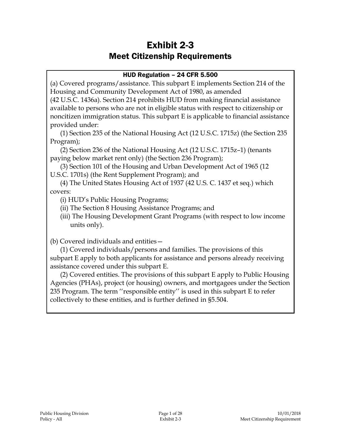# Exhibit 2-3 Meet Citizenship Requirements

### HUD Regulation – 24 CFR 5.500

(a) Covered programs/assistance. This subpart E implements Section 214 of the Housing and Community Development Act of 1980, as amended

(42 U.S.C. 1436a). Section 214 prohibits HUD from making financial assistance available to persons who are not in eligible status with respect to citizenship or noncitizen immigration status. This subpart E is applicable to financial assistance provided under:

(1) Section 235 of the National Housing Act (12 U.S.C. 1715z) (the Section 235 Program);

(2) Section 236 of the National Housing Act (12 U.S.C. 1715z–1) (tenants paying below market rent only) (the Section 236 Program);

(3) Section 101 of the Housing and Urban Development Act of 1965 (12 U.S.C. 1701s) (the Rent Supplement Program); and

(4) The United States Housing Act of 1937 (42 U.S. C. 1437 et seq.) which covers:

(i) HUD's Public Housing Programs;

(ii) The Section 8 Housing Assistance Programs; and

(iii) The Housing Development Grant Programs (with respect to low income units only).

(b) Covered individuals and entities—

(1) Covered individuals/persons and families. The provisions of this subpart E apply to both applicants for assistance and persons already receiving assistance covered under this subpart E.

(2) Covered entities. The provisions of this subpart E apply to Public Housing Agencies (PHAs), project (or housing) owners, and mortgagees under the Section 235 Program. The term ''responsible entity'' is used in this subpart E to refer collectively to these entities, and is further defined in §5.504.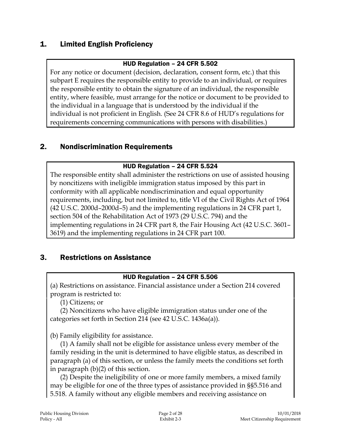# 1. Limited English Proficiency

#### HUD Regulation – 24 CFR 5.502

For any notice or document (decision, declaration, consent form, etc.) that this subpart E requires the responsible entity to provide to an individual, or requires the responsible entity to obtain the signature of an individual, the responsible entity, where feasible, must arrange for the notice or document to be provided to the individual in a language that is understood by the individual if the individual is not proficient in English. (See 24 CFR 8.6 of HUD's regulations for requirements concerning communications with persons with disabilities.)

# 2. Nondiscrimination Requirements

#### HUD Regulation – 24 CFR 5.524

The responsible entity shall administer the restrictions on use of assisted housing by noncitizens with ineligible immigration status imposed by this part in conformity with all applicable nondiscrimination and equal opportunity requirements, including, but not limited to, title VI of the Civil Rights Act of 1964 (42 U.S.C. 2000d–2000d–5) and the implementing regulations in 24 CFR part 1, section 504 of the Rehabilitation Act of 1973 (29 U.S.C. 794) and the implementing regulations in 24 CFR part 8, the Fair Housing Act (42 U.S.C. 3601– 3619) and the implementing regulations in 24 CFR part 100.

# 3. Restrictions on Assistance

#### HUD Regulation – 24 CFR 5.506

(a) Restrictions on assistance. Financial assistance under a Section 214 covered program is restricted to:

(1) Citizens; or

(2) Noncitizens who have eligible immigration status under one of the categories set forth in Section 214 (see 42 U.S.C. 1436a(a)).

(b) Family eligibility for assistance.

(1) A family shall not be eligible for assistance unless every member of the family residing in the unit is determined to have eligible status, as described in paragraph (a) of this section, or unless the family meets the conditions set forth in paragraph (b)(2) of this section.

(2) Despite the ineligibility of one or more family members, a mixed family may be eligible for one of the three types of assistance provided in §§5.516 and 5.518. A family without any eligible members and receiving assistance on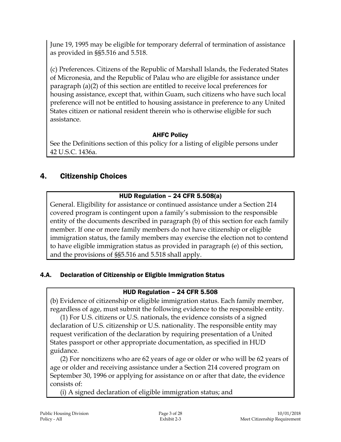June 19, 1995 may be eligible for temporary deferral of termination of assistance as provided in §§5.516 and 5.518.

(c) Preferences. Citizens of the Republic of Marshall Islands, the Federated States of Micronesia, and the Republic of Palau who are eligible for assistance under paragraph (a)(2) of this section are entitled to receive local preferences for housing assistance, except that, within Guam, such citizens who have such local preference will not be entitled to housing assistance in preference to any United States citizen or national resident therein who is otherwise eligible for such assistance.

# AHFC Policy

See the Definitions section of this policy for a listing of eligible persons under 42 U.S.C. 1436a.

# 4. Citizenship Choices

# HUD Regulation – 24 CFR 5.508(a)

General. Eligibility for assistance or continued assistance under a Section 214 covered program is contingent upon a family's submission to the responsible entity of the documents described in paragraph (b) of this section for each family member. If one or more family members do not have citizenship or eligible immigration status, the family members may exercise the election not to contend to have eligible immigration status as provided in paragraph (e) of this section, and the provisions of §§5.516 and 5.518 shall apply.

# 4.A. Declaration of Citizenship or Eligible Immigration Status

# HUD Regulation – 24 CFR 5.508

(b) Evidence of citizenship or eligible immigration status. Each family member, regardless of age, must submit the following evidence to the responsible entity.

(1) For U.S. citizens or U.S. nationals, the evidence consists of a signed declaration of U.S. citizenship or U.S. nationality. The responsible entity may request verification of the declaration by requiring presentation of a United States passport or other appropriate documentation, as specified in HUD guidance.

(2) For noncitizens who are 62 years of age or older or who will be 62 years of age or older and receiving assistance under a Section 214 covered program on September 30, 1996 or applying for assistance on or after that date, the evidence consists of:

(i) A signed declaration of eligible immigration status; and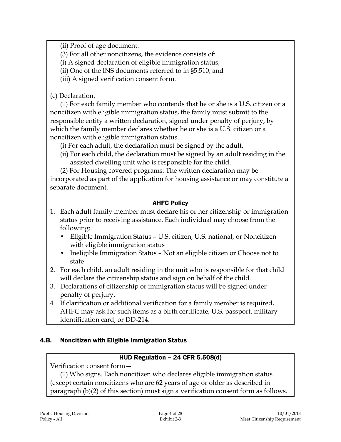(ii) Proof of age document.

(3) For all other noncitizens, the evidence consists of:

(i) A signed declaration of eligible immigration status;

(ii) One of the INS documents referred to in §5.510; and

(iii) A signed verification consent form.

(c) Declaration.

(1) For each family member who contends that he or she is a U.S. citizen or a noncitizen with eligible immigration status, the family must submit to the responsible entity a written declaration, signed under penalty of perjury, by which the family member declares whether he or she is a U.S. citizen or a noncitizen with eligible immigration status.

(i) For each adult, the declaration must be signed by the adult.

- (ii) For each child, the declaration must be signed by an adult residing in the assisted dwelling unit who is responsible for the child.
- (2) For Housing covered programs: The written declaration may be

incorporated as part of the application for housing assistance or may constitute a separate document.

# AHFC Policy

- 1. Each adult family member must declare his or her citizenship or immigration status prior to receiving assistance. Each individual may choose from the following:
	- Eligible Immigration Status U.S. citizen, U.S. national, or Noncitizen with eligible immigration status
	- Ineligible Immigration Status Not an eligible citizen or Choose not to state
- 2. For each child, an adult residing in the unit who is responsible for that child will declare the citizenship status and sign on behalf of the child.
- 3. Declarations of citizenship or immigration status will be signed under penalty of perjury.
- 4. If clarification or additional verification for a family member is required, AHFC may ask for such items as a birth certificate, U.S. passport, military identification card, or DD-214.

# 4.B. Noncitizen with Eligible Immigration Status

# HUD Regulation – 24 CFR 5.508(d)

Verification consent form—

(1) Who signs. Each noncitizen who declares eligible immigration status (except certain noncitizens who are 62 years of age or older as described in paragraph (b)(2) of this section) must sign a verification consent form as follows.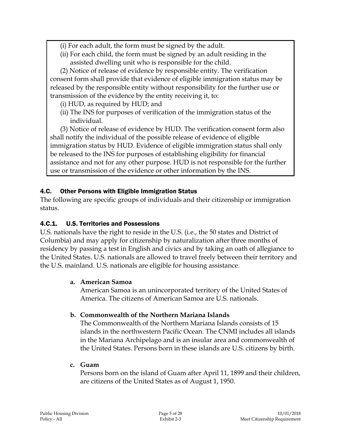- (i) For each adult, the form must be signed by the adult.
- (ii) For each child, the form must be signed by an adult residing in the assisted dwelling unit who is responsible for the child.

(2) Notice of release of evidence by responsible entity. The verification consent form shall provide that evidence of eligible immigration status may be released by the responsible entity without responsibility for the further use or transmission of the evidence by the entity receiving it, to:

- (i) HUD, as required by HUD; and
- (ii) The INS for purposes of verification of the immigration status of the individual.

(3) Notice of release of evidence by HUD. The verification consent form also shall notify the individual of the possible release of evidence of eligible immigration status by HUD. Evidence of eligible immigration status shall only be released to the INS for purposes of establishing eligibility for financial assistance and not for any other purpose. HUD is not responsible for the further use or transmission of the evidence or other information by the INS.

# 4.C. Other Persons with Eligible Immigration Status

The following are specific groups of individuals and their citizenship or immigration status.

# 4.C.1. U.S. Territories and Possessions

U.S. nationals have the right to reside in the U.S. (i.e., the 50 states and District of Columbia) and may apply for citizenship by naturalization after three months of residency by passing a test in English and civics and by taking an oath of allegiance to the United States. U.S. nationals are allowed to travel freely between their territory and the U.S. mainland. U.S. nationals are eligible for housing assistance.

# **a. American Samoa**

American Samoa is an unincorporated territory of the United States of America. The citizens of American Samoa are U.S. nationals.

# **b. Commonwealth of the Northern Mariana Islands**

The Commonwealth of the Northern Mariana Islands consists of 15 islands in the northwestern Pacific Ocean. The CNMI includes all islands in the Mariana Archipelago and is an insular area and commonwealth of the United States. Persons born in these islands are U.S. citizens by birth.

#### **c. Guam**

Persons born on the island of Guam after April 11, 1899 and their children, are citizens of the United States as of August 1, 1950.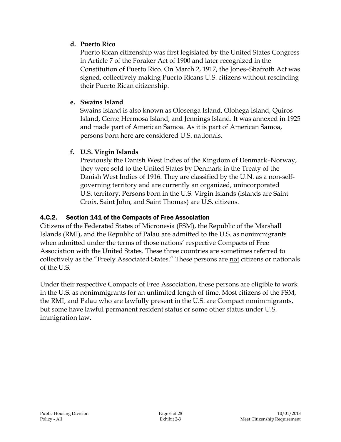### **d. Puerto Rico**

Puerto Rican citizenship was first legislated by the United States Congress in Article 7 of the Foraker Act of 1900 and later recognized in the Constitution of Puerto Rico. On March 2, 1917, the Jones–Shafroth Act was signed, collectively making Puerto Ricans U.S. citizens without rescinding their Puerto Rican citizenship.

### **e. Swains Island**

Swains Island is also known as Olosenga Island, Olohega Island, Quiros Island, Gente Hermosa Island, and Jennings Island. It was annexed in 1925 and made part of American Samoa. As it is part of American Samoa, persons born here are considered U.S. nationals.

# **f. U.S. Virgin Islands**

Previously the Danish West Indies of the Kingdom of Denmark–Norway, they were sold to the United States by Denmark in the Treaty of the Danish West Indies of 1916. They are classified by the U.N. as a non-selfgoverning territory and are currently an organized, unincorporated U.S. territory. Persons born in the U.S. Virgin Islands (islands are Saint Croix, Saint John, and Saint Thomas) are U.S. citizens.

### 4.C.2. Section 141 of the Compacts of Free Association

Citizens of the Federated States of Micronesia (FSM), the Republic of the Marshall Islands (RMI), and the Republic of Palau are admitted to the U.S. as nonimmigrants when admitted under the terms of those nations' respective Compacts of Free Association with the United States. These three countries are sometimes referred to collectively as the "Freely Associated States." These persons are not citizens or nationals of the U.S.

Under their respective Compacts of Free Association, these persons are eligible to work in the U.S. as nonimmigrants for an unlimited length of time. Most citizens of the FSM, the RMI, and Palau who are lawfully present in the U.S. are Compact nonimmigrants, but some have lawful permanent resident status or some other status under U.S. immigration law.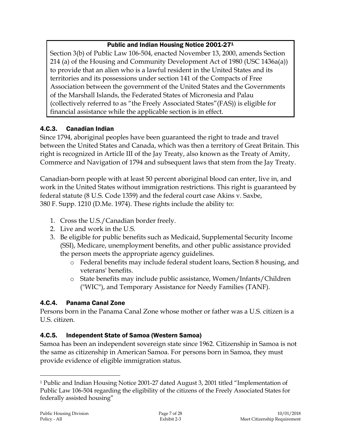# Public and Indian Housing Notice 2001-27<sup>1</sup>

Section 3(b) of Public Law 106-504, enacted November 13, 2000, amends Section 214 (a) of the Housing and Community Development Act of 1980 (USC 1436a(a)) to provide that an alien who is a lawful resident in the United States and its territories and its possessions under section 141 of the Compacts of Free Association between the government of the United States and the Governments of the Marshall Islands, the Federated States of Micronesia and Palau (collectively referred to as "the Freely Associated States"(FAS)) is eligible for financial assistance while the applicable section is in effect.

# 4.C.3. Canadian Indian

Since 1794, aboriginal peoples have been guaranteed the right to trade and travel between the United States and Canada, which was then a territory of Great Britain. This right is recognized in Article III of the Jay Treaty, also known as the Treaty of Amity, Commerce and Navigation of 1794 and subsequent laws that stem from the Jay Treaty.

Canadian-born people with at least 50 percent aboriginal blood can enter, live in, and work in the United States without immigration restrictions. This right is guaranteed by federal statute (8 U.S. Code 1359) and the federal court case Akins v. Saxbe, 380 F. Supp. 1210 (D.Me. 1974). These rights include the ability to:

- 1. Cross the U.S./Canadian border freely.
- 2. Live and work in the U.S.
- 3. Be eligible for public benefits such as Medicaid, Supplemental Security Income (SSI), Medicare, unemployment benefits, and other public assistance provided the person meets the appropriate agency guidelines.
	- o Federal benefits may include federal student loans, Section 8 housing, and veterans' benefits.
	- o State benefits may include public assistance, Women/Infants/Children ("WIC"), and Temporary Assistance for Needy Families (TANF).

# 4.C.4. Panama Canal Zone

Persons born in the Panama Canal Zone whose mother or father was a U.S. citizen is a U.S. citizen.

# 4.C.5. Independent State of Samoa (Western Samoa)

Samoa has been an independent sovereign state since 1962. Citizenship in Samoa is not the same as citizenship in American Samoa. For persons born in Samoa, they must provide evidence of eligible immigration status.

 $\overline{a}$ 

<sup>1</sup> Public and Indian Housing Notice 2001-27 dated August 3, 2001 titled "Implementation of Public Law 106-504 regarding the eligibility of the citizens of the Freely Associated States for federally assisted housing"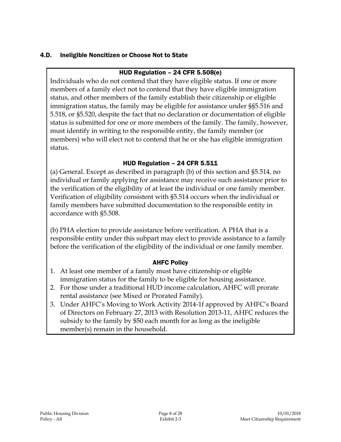### 4.D. Ineligible Noncitizen or Choose Not to State

### HUD Regulation – 24 CFR 5.508(e)

Individuals who do not contend that they have eligible status. If one or more members of a family elect not to contend that they have eligible immigration status, and other members of the family establish their citizenship or eligible immigration status, the family may be eligible for assistance under §§5.516 and 5.518, or §5.520, despite the fact that no declaration or documentation of eligible status is submitted for one or more members of the family. The family, however, must identify in writing to the responsible entity, the family member (or members) who will elect not to contend that he or she has eligible immigration status.

### HUD Regulation – 24 CFR 5.511

(a) General. Except as described in paragraph (b) of this section and §5.514, no individual or family applying for assistance may receive such assistance prior to the verification of the eligibility of at least the individual or one family member. Verification of eligibility consistent with §5.514 occurs when the individual or family members have submitted documentation to the responsible entity in accordance with §5.508.

(b) PHA election to provide assistance before verification. A PHA that is a responsible entity under this subpart may elect to provide assistance to a family before the verification of the eligibility of the individual or one family member.

#### AHFC Policy

- 1. At least one member of a family must have citizenship or eligible immigration status for the family to be eligible for housing assistance.
- 2. For those under a traditional HUD income calculation, AHFC will prorate rental assistance (see Mixed or Prorated Family).
- 3. Under AHFC's Moving to Work Activity 2014-1f approved by AHFC's Board of Directors on February 27, 2013 with Resolution 2013-11, AHFC reduces the subsidy to the family by \$50 each month for as long as the ineligible member(s) remain in the household.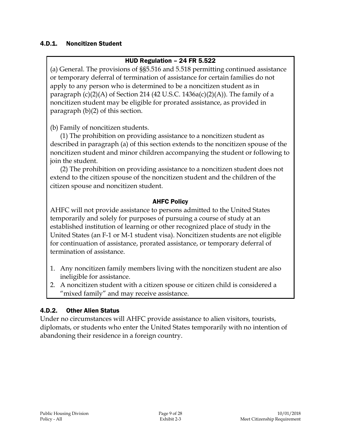#### 4.D.1. Noncitizen Student

#### HUD Regulation – 24 FR 5.522

(a) General. The provisions of §§5.516 and 5.518 permitting continued assistance or temporary deferral of termination of assistance for certain families do not apply to any person who is determined to be a noncitizen student as in paragraph  $(c)(2)(A)$  of Section 214 (42 U.S.C. 1436a $(c)(2)(A)$ ). The family of a noncitizen student may be eligible for prorated assistance, as provided in paragraph (b)(2) of this section.

(b) Family of noncitizen students.

(1) The prohibition on providing assistance to a noncitizen student as described in paragraph (a) of this section extends to the noncitizen spouse of the noncitizen student and minor children accompanying the student or following to join the student.

(2) The prohibition on providing assistance to a noncitizen student does not extend to the citizen spouse of the noncitizen student and the children of the citizen spouse and noncitizen student.

#### AHFC Policy

AHFC will not provide assistance to persons admitted to the United States temporarily and solely for purposes of pursuing a course of study at an established institution of learning or other recognized place of study in the United States (an F-1 or M-1 student visa). Noncitizen students are not eligible for continuation of assistance, prorated assistance, or temporary deferral of termination of assistance.

- 1. Any noncitizen family members living with the noncitizen student are also ineligible for assistance.
- 2. A noncitizen student with a citizen spouse or citizen child is considered a "mixed family" and may receive assistance.

#### 4.D.2. Other Alien Status

Under no circumstances will AHFC provide assistance to alien visitors, tourists, diplomats, or students who enter the United States temporarily with no intention of abandoning their residence in a foreign country.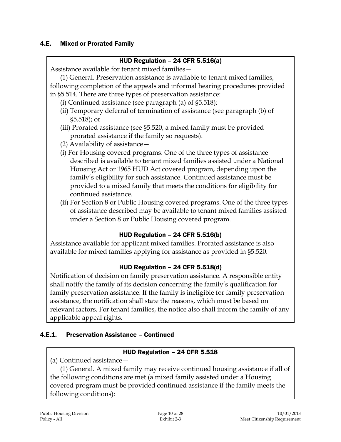#### 4.E. Mixed or Prorated Family

#### HUD Regulation – 24 CFR 5.516(a)

Assistance available for tenant mixed families—

(1) General. Preservation assistance is available to tenant mixed families, following completion of the appeals and informal hearing procedures provided in §5.514. There are three types of preservation assistance:

- (i) Continued assistance (see paragraph (a) of §5.518);
- (ii) Temporary deferral of termination of assistance (see paragraph (b) of §5.518); or
- (iii) Prorated assistance (see §5.520, a mixed family must be provided prorated assistance if the family so requests).
- (2) Availability of assistance—
- (i) For Housing covered programs: One of the three types of assistance described is available to tenant mixed families assisted under a National Housing Act or 1965 HUD Act covered program, depending upon the family's eligibility for such assistance. Continued assistance must be provided to a mixed family that meets the conditions for eligibility for continued assistance.
- (ii) For Section 8 or Public Housing covered programs. One of the three types of assistance described may be available to tenant mixed families assisted under a Section 8 or Public Housing covered program.

#### HUD Regulation – 24 CFR 5.516(b)

Assistance available for applicant mixed families. Prorated assistance is also available for mixed families applying for assistance as provided in §5.520.

#### HUD Regulation – 24 CFR 5.518(d)

Notification of decision on family preservation assistance. A responsible entity shall notify the family of its decision concerning the family's qualification for family preservation assistance. If the family is ineligible for family preservation assistance, the notification shall state the reasons, which must be based on relevant factors. For tenant families, the notice also shall inform the family of any applicable appeal rights.

#### 4.E.1. Preservation Assistance – Continued

#### HUD Regulation – 24 CFR 5.518

(a) Continued assistance—

(1) General. A mixed family may receive continued housing assistance if all of the following conditions are met (a mixed family assisted under a Housing covered program must be provided continued assistance if the family meets the following conditions):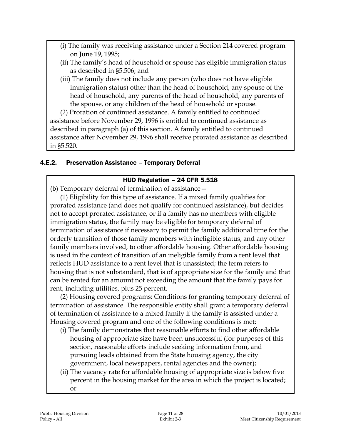- (i) The family was receiving assistance under a Section 214 covered program on June 19, 1995;
- (ii) The family's head of household or spouse has eligible immigration status as described in §5.506; and
- (iii) The family does not include any person (who does not have eligible immigration status) other than the head of household, any spouse of the head of household, any parents of the head of household, any parents of the spouse, or any children of the head of household or spouse.

(2) Proration of continued assistance. A family entitled to continued assistance before November 29, 1996 is entitled to continued assistance as described in paragraph (a) of this section. A family entitled to continued assistance after November 29, 1996 shall receive prorated assistance as described in §5.520.

### 4.E.2. Preservation Assistance – Temporary Deferral

#### HUD Regulation – 24 CFR 5.518

(b) Temporary deferral of termination of assistance—

(1) Eligibility for this type of assistance. If a mixed family qualifies for prorated assistance (and does not qualify for continued assistance), but decides not to accept prorated assistance, or if a family has no members with eligible immigration status, the family may be eligible for temporary deferral of termination of assistance if necessary to permit the family additional time for the orderly transition of those family members with ineligible status, and any other family members involved, to other affordable housing. Other affordable housing is used in the context of transition of an ineligible family from a rent level that reflects HUD assistance to a rent level that is unassisted; the term refers to housing that is not substandard, that is of appropriate size for the family and that can be rented for an amount not exceeding the amount that the family pays for rent, including utilities, plus 25 percent.

(2) Housing covered programs: Conditions for granting temporary deferral of termination of assistance. The responsible entity shall grant a temporary deferral of termination of assistance to a mixed family if the family is assisted under a Housing covered program and one of the following conditions is met:

- (i) The family demonstrates that reasonable efforts to find other affordable housing of appropriate size have been unsuccessful (for purposes of this section, reasonable efforts include seeking information from, and pursuing leads obtained from the State housing agency, the city government, local newspapers, rental agencies and the owner);
- (ii) The vacancy rate for affordable housing of appropriate size is below five percent in the housing market for the area in which the project is located; or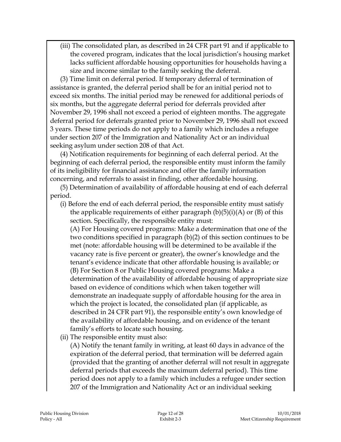(iii) The consolidated plan, as described in 24 CFR part 91 and if applicable to the covered program, indicates that the local jurisdiction's housing market lacks sufficient affordable housing opportunities for households having a size and income similar to the family seeking the deferral.

(3) Time limit on deferral period. If temporary deferral of termination of assistance is granted, the deferral period shall be for an initial period not to exceed six months. The initial period may be renewed for additional periods of six months, but the aggregate deferral period for deferrals provided after November 29, 1996 shall not exceed a period of eighteen months. The aggregate deferral period for deferrals granted prior to November 29, 1996 shall not exceed 3 years. These time periods do not apply to a family which includes a refugee under section 207 of the Immigration and Nationality Act or an individual seeking asylum under section 208 of that Act.

(4) Notification requirements for beginning of each deferral period. At the beginning of each deferral period, the responsible entity must inform the family of its ineligibility for financial assistance and offer the family information concerning, and referrals to assist in finding, other affordable housing.

(5) Determination of availability of affordable housing at end of each deferral period.

(i) Before the end of each deferral period, the responsible entity must satisfy the applicable requirements of either paragraph  $(b)(5)(i)(A)$  or  $(B)$  of this section. Specifically, the responsible entity must:

(A) For Housing covered programs: Make a determination that one of the two conditions specified in paragraph (b)(2) of this section continues to be met (note: affordable housing will be determined to be available if the vacancy rate is five percent or greater), the owner's knowledge and the tenant's evidence indicate that other affordable housing is available; or (B) For Section 8 or Public Housing covered programs: Make a determination of the availability of affordable housing of appropriate size based on evidence of conditions which when taken together will demonstrate an inadequate supply of affordable housing for the area in which the project is located, the consolidated plan (if applicable, as described in 24 CFR part 91), the responsible entity's own knowledge of the availability of affordable housing, and on evidence of the tenant family's efforts to locate such housing.

(ii) The responsible entity must also:

(A) Notify the tenant family in writing, at least 60 days in advance of the expiration of the deferral period, that termination will be deferred again (provided that the granting of another deferral will not result in aggregate deferral periods that exceeds the maximum deferral period). This time period does not apply to a family which includes a refugee under section 207 of the Immigration and Nationality Act or an individual seeking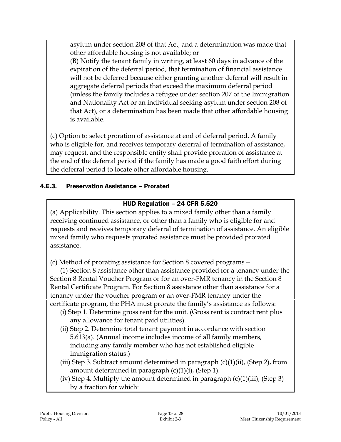asylum under section 208 of that Act, and a determination was made that other affordable housing is not available; or

(B) Notify the tenant family in writing, at least 60 days in advance of the expiration of the deferral period, that termination of financial assistance will not be deferred because either granting another deferral will result in aggregate deferral periods that exceed the maximum deferral period (unless the family includes a refugee under section 207 of the Immigration and Nationality Act or an individual seeking asylum under section 208 of that Act), or a determination has been made that other affordable housing is available.

(c) Option to select proration of assistance at end of deferral period. A family who is eligible for, and receives temporary deferral of termination of assistance, may request, and the responsible entity shall provide proration of assistance at the end of the deferral period if the family has made a good faith effort during the deferral period to locate other affordable housing.

### 4.E.3. Preservation Assistance – Prorated

### HUD Regulation – 24 CFR 5.520

(a) Applicability. This section applies to a mixed family other than a family receiving continued assistance, or other than a family who is eligible for and requests and receives temporary deferral of termination of assistance. An eligible mixed family who requests prorated assistance must be provided prorated assistance.

(c) Method of prorating assistance for Section 8 covered programs—

(1) Section 8 assistance other than assistance provided for a tenancy under the Section 8 Rental Voucher Program or for an over-FMR tenancy in the Section 8 Rental Certificate Program. For Section 8 assistance other than assistance for a tenancy under the voucher program or an over-FMR tenancy under the certificate program, the PHA must prorate the family's assistance as follows:

- (i) Step 1. Determine gross rent for the unit. (Gross rent is contract rent plus any allowance for tenant paid utilities).
- (ii) Step 2. Determine total tenant payment in accordance with section 5.613(a). (Annual income includes income of all family members, including any family member who has not established eligible immigration status.)
- (iii) Step 3. Subtract amount determined in paragraph  $(c)(1)(ii)$ , (Step 2), from amount determined in paragraph  $(c)(1)(i)$ , (Step 1).
- (iv) Step 4. Multiply the amount determined in paragraph  $(c)(1)(iii)$ , (Step 3) by a fraction for which: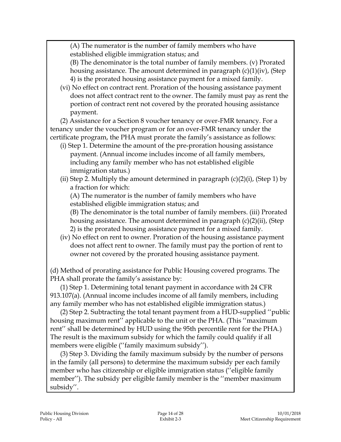(A) The numerator is the number of family members who have established eligible immigration status; and

(B) The denominator is the total number of family members. (v) Prorated housing assistance. The amount determined in paragraph (c)(1)(iv), (Step 4) is the prorated housing assistance payment for a mixed family.

(vi) No effect on contract rent. Proration of the housing assistance payment does not affect contract rent to the owner. The family must pay as rent the portion of contract rent not covered by the prorated housing assistance payment.

(2) Assistance for a Section 8 voucher tenancy or over-FMR tenancy. For a tenancy under the voucher program or for an over-FMR tenancy under the certificate program, the PHA must prorate the family's assistance as follows:

- (i) Step 1. Determine the amount of the pre-proration housing assistance payment. (Annual income includes income of all family members, including any family member who has not established eligible immigration status.)
- (ii) Step 2. Multiply the amount determined in paragraph  $(c)(2)(i)$ , (Step 1) by a fraction for which:

(A) The numerator is the number of family members who have established eligible immigration status; and

(B) The denominator is the total number of family members. (iii) Prorated housing assistance. The amount determined in paragraph (c)(2)(ii), (Step 2) is the prorated housing assistance payment for a mixed family.

(iv) No effect on rent to owner. Proration of the housing assistance payment does not affect rent to owner. The family must pay the portion of rent to owner not covered by the prorated housing assistance payment.

(d) Method of prorating assistance for Public Housing covered programs. The PHA shall prorate the family's assistance by:

(1) Step 1. Determining total tenant payment in accordance with 24 CFR 913.107(a). (Annual income includes income of all family members, including any family member who has not established eligible immigration status.)

(2) Step 2. Subtracting the total tenant payment from a HUD-supplied ''public housing maximum rent'' applicable to the unit or the PHA. (This ''maximum rent'' shall be determined by HUD using the 95th percentile rent for the PHA.) The result is the maximum subsidy for which the family could qualify if all members were eligible (''family maximum subsidy'').

(3) Step 3. Dividing the family maximum subsidy by the number of persons in the family (all persons) to determine the maximum subsidy per each family member who has citizenship or eligible immigration status (''eligible family member''). The subsidy per eligible family member is the ''member maximum subsidy''.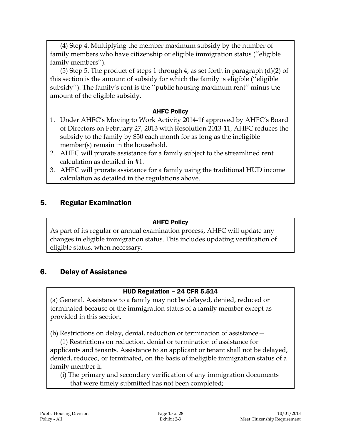(4) Step 4. Multiplying the member maximum subsidy by the number of family members who have citizenship or eligible immigration status (''eligible family members'').

(5) Step 5. The product of steps 1 through 4, as set forth in paragraph  $(d)(2)$  of this section is the amount of subsidy for which the family is eligible (''eligible subsidy''). The family's rent is the ''public housing maximum rent'' minus the amount of the eligible subsidy.

#### AHFC Policy

- 1. Under AHFC's Moving to Work Activity 2014-1f approved by AHFC's Board of Directors on February 27, 2013 with Resolution 2013-11, AHFC reduces the subsidy to the family by \$50 each month for as long as the ineligible member(s) remain in the household.
- 2. AHFC will prorate assistance for a family subject to the streamlined rent calculation as detailed in #1.
- 3. AHFC will prorate assistance for a family using the traditional HUD income calculation as detailed in the regulations above.

# 5. Regular Examination

#### AHFC Policy

As part of its regular or annual examination process, AHFC will update any changes in eligible immigration status. This includes updating verification of eligible status, when necessary.

# 6. Delay of Assistance

#### HUD Regulation – 24 CFR 5.514

(a) General. Assistance to a family may not be delayed, denied, reduced or terminated because of the immigration status of a family member except as provided in this section.

(b) Restrictions on delay, denial, reduction or termination of assistance—

(1) Restrictions on reduction, denial or termination of assistance for applicants and tenants. Assistance to an applicant or tenant shall not be delayed, denied, reduced, or terminated, on the basis of ineligible immigration status of a family member if:

(i) The primary and secondary verification of any immigration documents that were timely submitted has not been completed;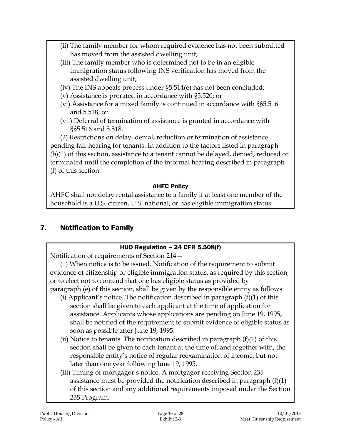- (ii) The family member for whom required evidence has not been submitted has moved from the assisted dwelling unit;
- (iii) The family member who is determined not to be in an eligible immigration status following INS verification has moved from the assisted dwelling unit;
- (iv) The INS appeals process under §5.514(e) has not been concluded;
- (v) Assistance is prorated in accordance with §5.520; or
- (vi) Assistance for a mixed family is continued in accordance with §§5.516 and 5.518; or
- (vii) Deferral of termination of assistance is granted in accordance with §§5.516 and 5.518.

(2) Restrictions on delay, denial, reduction or termination of assistance pending fair hearing for tenants. In addition to the factors listed in paragraph (b)(1) of this section, assistance to a tenant cannot be delayed, denied, reduced or terminated until the completion of the informal hearing described in paragraph (f) of this section.

# AHFC Policy

AHFC shall not delay rental assistance to a family if at least one member of the household is a U.S. citizen, U.S. national, or has eligible immigration status.

# 7. Notification to Family

# HUD Regulation – 24 CFR 5.508(f)

Notification of requirements of Section 214—

(1) When notice is to be issued. Notification of the requirement to submit evidence of citizenship or eligible immigration status, as required by this section, or to elect not to contend that one has eligible status as provided by paragraph (e) of this section, shall be given by the responsible entity as follows:

- (i) Applicant's notice. The notification described in paragraph  $(f)(1)$  of this section shall be given to each applicant at the time of application for assistance. Applicants whose applications are pending on June 19, 1995, shall be notified of the requirement to submit evidence of eligible status as soon as possible after June 19, 1995.
- (ii) Notice to tenants. The notification described in paragraph  $(f)(1)$  of this section shall be given to each tenant at the time of, and together with, the responsible entity's notice of regular reexamination of income, but not later than one year following June 19, 1995.
- (iii) Timing of mortgagor's notice. A mortgagor receiving Section 235 assistance must be provided the notification described in paragraph (f)(1) of this section and any additional requirements imposed under the Section 235 Program.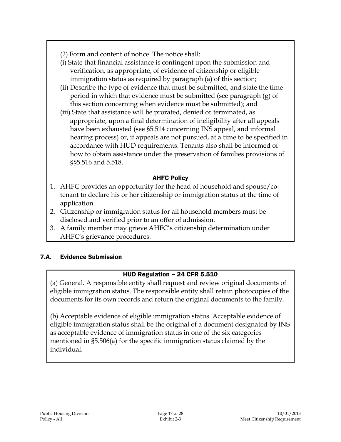- (2) Form and content of notice. The notice shall:
- (i) State that financial assistance is contingent upon the submission and verification, as appropriate, of evidence of citizenship or eligible immigration status as required by paragraph (a) of this section;
- (ii) Describe the type of evidence that must be submitted, and state the time period in which that evidence must be submitted (see paragraph (g) of this section concerning when evidence must be submitted); and
- (iii) State that assistance will be prorated, denied or terminated, as appropriate, upon a final determination of ineligibility after all appeals have been exhausted (see §5.514 concerning INS appeal, and informal hearing process) or, if appeals are not pursued, at a time to be specified in accordance with HUD requirements. Tenants also shall be informed of how to obtain assistance under the preservation of families provisions of §§5.516 and 5.518.

### AHFC Policy

- 1. AHFC provides an opportunity for the head of household and spouse/cotenant to declare his or her citizenship or immigration status at the time of application.
- 2. Citizenship or immigration status for all household members must be disclosed and verified prior to an offer of admission.
- 3. A family member may grieve AHFC's citizenship determination under AHFC's grievance procedures.

#### 7.A. Evidence Submission

# HUD Regulation – 24 CFR 5.510

(a) General. A responsible entity shall request and review original documents of eligible immigration status. The responsible entity shall retain photocopies of the documents for its own records and return the original documents to the family.

(b) Acceptable evidence of eligible immigration status. Acceptable evidence of eligible immigration status shall be the original of a document designated by INS as acceptable evidence of immigration status in one of the six categories mentioned in §5.506(a) for the specific immigration status claimed by the individual.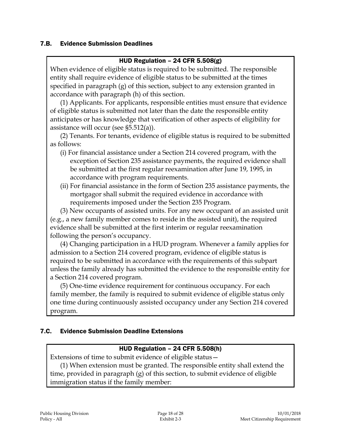#### 7.B. Evidence Submission Deadlines

#### HUD Regulation – 24 CFR 5.508(g)

When evidence of eligible status is required to be submitted. The responsible entity shall require evidence of eligible status to be submitted at the times specified in paragraph (g) of this section, subject to any extension granted in accordance with paragraph (h) of this section.

(1) Applicants. For applicants, responsible entities must ensure that evidence of eligible status is submitted not later than the date the responsible entity anticipates or has knowledge that verification of other aspects of eligibility for assistance will occur (see §5.512(a)).

(2) Tenants. For tenants, evidence of eligible status is required to be submitted as follows:

- (i) For financial assistance under a Section 214 covered program, with the exception of Section 235 assistance payments, the required evidence shall be submitted at the first regular reexamination after June 19, 1995, in accordance with program requirements.
- (ii) For financial assistance in the form of Section 235 assistance payments, the mortgagor shall submit the required evidence in accordance with requirements imposed under the Section 235 Program.

(3) New occupants of assisted units. For any new occupant of an assisted unit (e.g., a new family member comes to reside in the assisted unit), the required evidence shall be submitted at the first interim or regular reexamination following the person's occupancy.

(4) Changing participation in a HUD program. Whenever a family applies for admission to a Section 214 covered program, evidence of eligible status is required to be submitted in accordance with the requirements of this subpart unless the family already has submitted the evidence to the responsible entity for a Section 214 covered program.

(5) One-time evidence requirement for continuous occupancy. For each family member, the family is required to submit evidence of eligible status only one time during continuously assisted occupancy under any Section 214 covered program.

#### 7.C. Evidence Submission Deadline Extensions

#### HUD Regulation – 24 CFR 5.508(h)

Extensions of time to submit evidence of eligible status—

(1) When extension must be granted. The responsible entity shall extend the time, provided in paragraph (g) of this section, to submit evidence of eligible immigration status if the family member: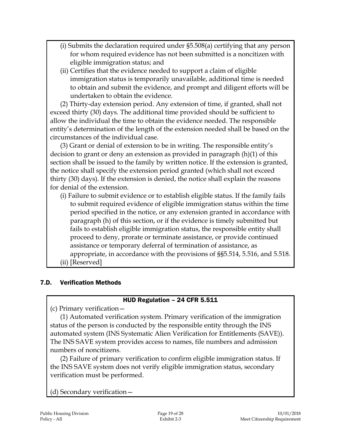- (i) Submits the declaration required under §5.508(a) certifying that any person for whom required evidence has not been submitted is a noncitizen with eligible immigration status; and
- (ii) Certifies that the evidence needed to support a claim of eligible immigration status is temporarily unavailable, additional time is needed to obtain and submit the evidence, and prompt and diligent efforts will be undertaken to obtain the evidence.

(2) Thirty-day extension period. Any extension of time, if granted, shall not exceed thirty (30) days. The additional time provided should be sufficient to allow the individual the time to obtain the evidence needed. The responsible entity's determination of the length of the extension needed shall be based on the circumstances of the individual case.

(3) Grant or denial of extension to be in writing. The responsible entity's decision to grant or deny an extension as provided in paragraph (h)(1) of this section shall be issued to the family by written notice. If the extension is granted, the notice shall specify the extension period granted (which shall not exceed thirty (30) days). If the extension is denied, the notice shall explain the reasons for denial of the extension.

(i) Failure to submit evidence or to establish eligible status. If the family fails to submit required evidence of eligible immigration status within the time period specified in the notice, or any extension granted in accordance with paragraph (h) of this section, or if the evidence is timely submitted but fails to establish eligible immigration status, the responsible entity shall proceed to deny, prorate or terminate assistance, or provide continued assistance or temporary deferral of termination of assistance, as appropriate, in accordance with the provisions of §§5.514, 5.516, and 5.518. (ii) [Reserved]

#### 7.D. Verification Methods

#### HUD Regulation – 24 CFR 5.511

(c) Primary verification—

(1) Automated verification system. Primary verification of the immigration status of the person is conducted by the responsible entity through the INS automated system (INS Systematic Alien Verification for Entitlements (SAVE)). The INS SAVE system provides access to names, file numbers and admission numbers of noncitizens.

(2) Failure of primary verification to confirm eligible immigration status. If the INS SAVE system does not verify eligible immigration status, secondary verification must be performed.

(d) Secondary verification—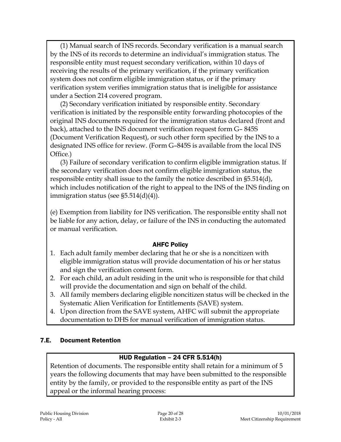(1) Manual search of INS records. Secondary verification is a manual search by the INS of its records to determine an individual's immigration status. The responsible entity must request secondary verification, within 10 days of receiving the results of the primary verification, if the primary verification system does not confirm eligible immigration status, or if the primary verification system verifies immigration status that is ineligible for assistance under a Section 214 covered program.

(2) Secondary verification initiated by responsible entity. Secondary verification is initiated by the responsible entity forwarding photocopies of the original INS documents required for the immigration status declared (front and back), attached to the INS document verification request form G– 845S (Document Verification Request), or such other form specified by the INS to a designated INS office for review. (Form G–845S is available from the local INS Office.)

(3) Failure of secondary verification to confirm eligible immigration status. If the secondary verification does not confirm eligible immigration status, the responsible entity shall issue to the family the notice described in §5.514(d), which includes notification of the right to appeal to the INS of the INS finding on immigration status (see  $\S5.514(d)(4)$ ).

(e) Exemption from liability for INS verification. The responsible entity shall not be liable for any action, delay, or failure of the INS in conducting the automated or manual verification.

#### AHFC Policy

- 1. Each adult family member declaring that he or she is a noncitizen with eligible immigration status will provide documentation of his or her status and sign the verification consent form.
- 2. For each child, an adult residing in the unit who is responsible for that child will provide the documentation and sign on behalf of the child.
- 3. All family members declaring eligible noncitizen status will be checked in the Systematic Alien Verification for Entitlements (SAVE) system.
- 4. Upon direction from the SAVE system, AHFC will submit the appropriate documentation to DHS for manual verification of immigration status.

#### 7.E. Document Retention

#### HUD Regulation – 24 CFR 5.514(h)

Retention of documents. The responsible entity shall retain for a minimum of 5 years the following documents that may have been submitted to the responsible entity by the family, or provided to the responsible entity as part of the INS appeal or the informal hearing process: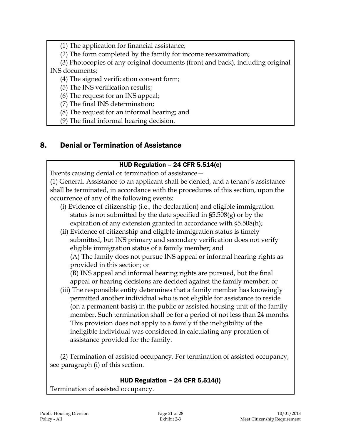(1) The application for financial assistance;

(2) The form completed by the family for income reexamination;

(3) Photocopies of any original documents (front and back), including original INS documents;

(4) The signed verification consent form;

(5) The INS verification results;

(6) The request for an INS appeal;

(7) The final INS determination;

(8) The request for an informal hearing; and

(9) The final informal hearing decision.

# 8. Denial or Termination of Assistance

#### HUD Regulation – 24 CFR 5.514(c)

Events causing denial or termination of assistance—

(1) General. Assistance to an applicant shall be denied, and a tenant's assistance shall be terminated, in accordance with the procedures of this section, upon the occurrence of any of the following events:

- (i) Evidence of citizenship (i.e., the declaration) and eligible immigration status is not submitted by the date specified in §5.508(g) or by the expiration of any extension granted in accordance with §5.508(h);
- (ii) Evidence of citizenship and eligible immigration status is timely submitted, but INS primary and secondary verification does not verify eligible immigration status of a family member; and (A) The family does not pursue INS appeal or informal hearing rights as provided in this section; or

(B) INS appeal and informal hearing rights are pursued, but the final appeal or hearing decisions are decided against the family member; or

(iii) The responsible entity determines that a family member has knowingly permitted another individual who is not eligible for assistance to reside (on a permanent basis) in the public or assisted housing unit of the family member. Such termination shall be for a period of not less than 24 months. This provision does not apply to a family if the ineligibility of the ineligible individual was considered in calculating any proration of assistance provided for the family.

(2) Termination of assisted occupancy. For termination of assisted occupancy, see paragraph (i) of this section.

#### HUD Regulation – 24 CFR 5.514(i)

Termination of assisted occupancy.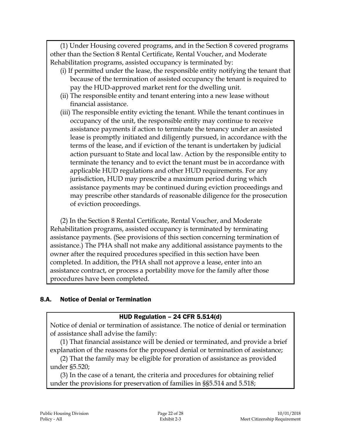(1) Under Housing covered programs, and in the Section 8 covered programs other than the Section 8 Rental Certificate, Rental Voucher, and Moderate Rehabilitation programs, assisted occupancy is terminated by:

- (i) If permitted under the lease, the responsible entity notifying the tenant that because of the termination of assisted occupancy the tenant is required to pay the HUD-approved market rent for the dwelling unit.
- (ii) The responsible entity and tenant entering into a new lease without financial assistance.
- (iii) The responsible entity evicting the tenant. While the tenant continues in occupancy of the unit, the responsible entity may continue to receive assistance payments if action to terminate the tenancy under an assisted lease is promptly initiated and diligently pursued, in accordance with the terms of the lease, and if eviction of the tenant is undertaken by judicial action pursuant to State and local law. Action by the responsible entity to terminate the tenancy and to evict the tenant must be in accordance with applicable HUD regulations and other HUD requirements. For any jurisdiction, HUD may prescribe a maximum period during which assistance payments may be continued during eviction proceedings and may prescribe other standards of reasonable diligence for the prosecution of eviction proceedings.

(2) In the Section 8 Rental Certificate, Rental Voucher, and Moderate Rehabilitation programs, assisted occupancy is terminated by terminating assistance payments. (See provisions of this section concerning termination of assistance.) The PHA shall not make any additional assistance payments to the owner after the required procedures specified in this section have been completed. In addition, the PHA shall not approve a lease, enter into an assistance contract, or process a portability move for the family after those procedures have been completed.

#### 8.A. Notice of Denial or Termination

#### HUD Regulation – 24 CFR 5.514(d)

Notice of denial or termination of assistance. The notice of denial or termination of assistance shall advise the family:

(1) That financial assistance will be denied or terminated, and provide a brief explanation of the reasons for the proposed denial or termination of assistance;

(2) That the family may be eligible for proration of assistance as provided under §5.520;

(3) In the case of a tenant, the criteria and procedures for obtaining relief under the provisions for preservation of families in §§5.514 and 5.518;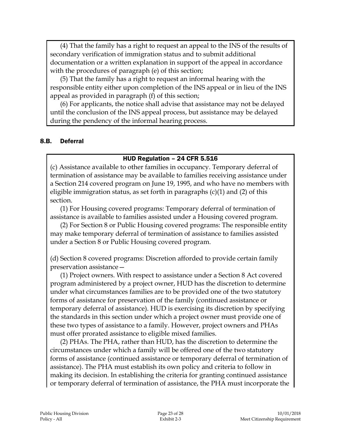(4) That the family has a right to request an appeal to the INS of the results of secondary verification of immigration status and to submit additional documentation or a written explanation in support of the appeal in accordance with the procedures of paragraph (e) of this section;

(5) That the family has a right to request an informal hearing with the responsible entity either upon completion of the INS appeal or in lieu of the INS appeal as provided in paragraph (f) of this section;

(6) For applicants, the notice shall advise that assistance may not be delayed until the conclusion of the INS appeal process, but assistance may be delayed during the pendency of the informal hearing process.

#### 8.B. Deferral

#### HUD Regulation – 24 CFR 5.516

(c) Assistance available to other families in occupancy. Temporary deferral of termination of assistance may be available to families receiving assistance under a Section 214 covered program on June 19, 1995, and who have no members with eligible immigration status, as set forth in paragraphs (c)(1) and (2) of this section.

(1) For Housing covered programs: Temporary deferral of termination of assistance is available to families assisted under a Housing covered program.

(2) For Section 8 or Public Housing covered programs: The responsible entity may make temporary deferral of termination of assistance to families assisted under a Section 8 or Public Housing covered program.

(d) Section 8 covered programs: Discretion afforded to provide certain family preservation assistance—

(1) Project owners. With respect to assistance under a Section 8 Act covered program administered by a project owner, HUD has the discretion to determine under what circumstances families are to be provided one of the two statutory forms of assistance for preservation of the family (continued assistance or temporary deferral of assistance). HUD is exercising its discretion by specifying the standards in this section under which a project owner must provide one of these two types of assistance to a family. However, project owners and PHAs must offer prorated assistance to eligible mixed families.

(2) PHAs. The PHA, rather than HUD, has the discretion to determine the circumstances under which a family will be offered one of the two statutory forms of assistance (continued assistance or temporary deferral of termination of assistance). The PHA must establish its own policy and criteria to follow in making its decision. In establishing the criteria for granting continued assistance or temporary deferral of termination of assistance, the PHA must incorporate the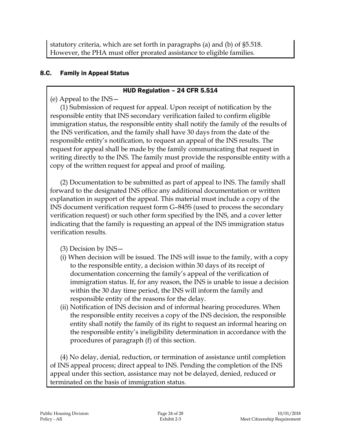statutory criteria, which are set forth in paragraphs (a) and (b) of §5.518. However, the PHA must offer prorated assistance to eligible families.

### 8.C. Family in Appeal Status

#### HUD Regulation – 24 CFR 5.514

(e) Appeal to the INS—

(1) Submission of request for appeal. Upon receipt of notification by the responsible entity that INS secondary verification failed to confirm eligible immigration status, the responsible entity shall notify the family of the results of the INS verification, and the family shall have 30 days from the date of the responsible entity's notification, to request an appeal of the INS results. The request for appeal shall be made by the family communicating that request in writing directly to the INS. The family must provide the responsible entity with a copy of the written request for appeal and proof of mailing.

(2) Documentation to be submitted as part of appeal to INS. The family shall forward to the designated INS office any additional documentation or written explanation in support of the appeal. This material must include a copy of the INS document verification request form G–845S (used to process the secondary verification request) or such other form specified by the INS, and a cover letter indicating that the family is requesting an appeal of the INS immigration status verification results.

(3) Decision by INS—

- (i) When decision will be issued. The INS will issue to the family, with a copy to the responsible entity, a decision within 30 days of its receipt of documentation concerning the family's appeal of the verification of immigration status. If, for any reason, the INS is unable to issue a decision within the 30 day time period, the INS will inform the family and responsible entity of the reasons for the delay.
- (ii) Notification of INS decision and of informal hearing procedures. When the responsible entity receives a copy of the INS decision, the responsible entity shall notify the family of its right to request an informal hearing on the responsible entity's ineligibility determination in accordance with the procedures of paragraph (f) of this section.

(4) No delay, denial, reduction, or termination of assistance until completion of INS appeal process; direct appeal to INS. Pending the completion of the INS appeal under this section, assistance may not be delayed, denied, reduced or terminated on the basis of immigration status.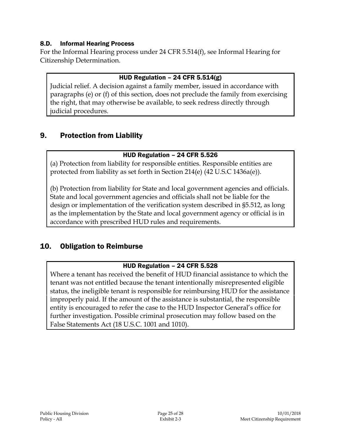#### 8.D. Informal Hearing Process

For the Informal Hearing process under 24 CFR 5.514(f), see Informal Hearing for Citizenship Determination.

#### HUD Regulation – 24 CFR 5.514(g)

Judicial relief. A decision against a family member, issued in accordance with paragraphs (e) or (f) of this section, does not preclude the family from exercising the right, that may otherwise be available, to seek redress directly through judicial procedures.

# 9. Protection from Liability

#### HUD Regulation – 24 CFR 5.526

(a) Protection from liability for responsible entities. Responsible entities are protected from liability as set forth in Section 214(e) (42 U.S.C 1436a(e)).

(b) Protection from liability for State and local government agencies and officials. State and local government agencies and officials shall not be liable for the design or implementation of the verification system described in §5.512, as long as the implementation by the State and local government agency or official is in accordance with prescribed HUD rules and requirements.

# 10. Obligation to Reimburse

#### HUD Regulation – 24 CFR 5.528

Where a tenant has received the benefit of HUD financial assistance to which the tenant was not entitled because the tenant intentionally misrepresented eligible status, the ineligible tenant is responsible for reimbursing HUD for the assistance improperly paid. If the amount of the assistance is substantial, the responsible entity is encouraged to refer the case to the HUD Inspector General's office for further investigation. Possible criminal prosecution may follow based on the False Statements Act (18 U.S.C. 1001 and 1010).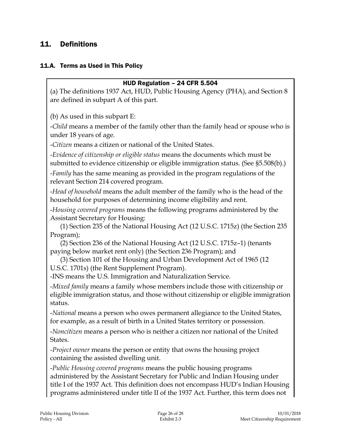# 11. Definitions

#### 11.A. Terms as Used in This Policy

#### HUD Regulation – 24 CFR 5.504

(a) The definitions 1937 Act, HUD, Public Housing Agency (PHA), and Section 8 are defined in subpart A of this part.

(b) As used in this subpart E:

-*Child* means a member of the family other than the family head or spouse who is under 18 years of age.

-*Citizen* means a citizen or national of the United States.

-*Evidence of citizenship or eligible status* means the documents which must be submitted to evidence citizenship or eligible immigration status. (See §5.508(b).)

-*Family* has the same meaning as provided in the program regulations of the relevant Section 214 covered program.

-*Head of household* means the adult member of the family who is the head of the household for purposes of determining income eligibility and rent.

-*Housing covered programs* means the following programs administered by the Assistant Secretary for Housing:

(1) Section 235 of the National Housing Act (12 U.S.C. 1715z) (the Section 235 Program);

(2) Section 236 of the National Housing Act (12 U.S.C. 1715z–1) (tenants paying below market rent only) (the Section 236 Program); and

(3) Section 101 of the Housing and Urban Development Act of 1965 (12 U.S.C. 1701s) (the Rent Supplement Program).

-INS means the U.S. Immigration and Naturalization Service.

-*Mixed family* means a family whose members include those with citizenship or eligible immigration status, and those without citizenship or eligible immigration status.

-*National* means a person who owes permanent allegiance to the United States, for example, as a result of birth in a United States territory or possession.

-*Noncitizen* means a person who is neither a citizen nor national of the United States.

-*Project owner* means the person or entity that owns the housing project containing the assisted dwelling unit.

-*Public Housing covered programs* means the public housing programs administered by the Assistant Secretary for Public and Indian Housing under title I of the 1937 Act. This definition does not encompass HUD's Indian Housing programs administered under title II of the 1937 Act. Further, this term does not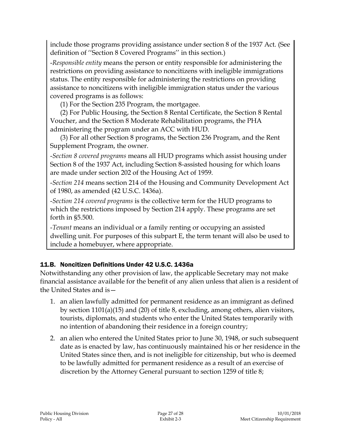include those programs providing assistance under section 8 of the 1937 Act. (See definition of ''Section 8 Covered Programs'' in this section.)

-*Responsible entity* means the person or entity responsible for administering the restrictions on providing assistance to noncitizens with ineligible immigrations status. The entity responsible for administering the restrictions on providing assistance to noncitizens with ineligible immigration status under the various covered programs is as follows:

(1) For the Section 235 Program, the mortgagee.

(2) For Public Housing, the Section 8 Rental Certificate, the Section 8 Rental Voucher, and the Section 8 Moderate Rehabilitation programs, the PHA administering the program under an ACC with HUD.

(3) For all other Section 8 programs, the Section 236 Program, and the Rent Supplement Program, the owner.

-*Section 8 covered programs* means all HUD programs which assist housing under Section 8 of the 1937 Act, including Section 8-assisted housing for which loans are made under section 202 of the Housing Act of 1959.

-*Section 214* means section 214 of the Housing and Community Development Act of 1980, as amended (42 U.S.C. 1436a).

-*Section 214 covered programs* is the collective term for the HUD programs to which the restrictions imposed by Section 214 apply. These programs are set forth in §5.500.

-*Tenant* means an individual or a family renting or occupying an assisted dwelling unit. For purposes of this subpart E, the term tenant will also be used to include a homebuyer, where appropriate.

# 11.B. Noncitizen Definitions Under 42 U.S.C. 1436a

Notwithstanding any other provision of law, the applicable Secretary may not make financial assistance available for the benefit of any alien unless that alien is a resident of the United States and is—

- 1. an alien lawfully admitted for permanent residence as an immigrant as defined by section 1101(a)(15) and (20) of title 8, excluding, among others, alien visitors, tourists, diplomats, and students who enter the United States temporarily with no intention of abandoning their residence in a foreign country;
- 2. an alien who entered the United States prior to June 30, 1948, or such subsequent date as is enacted by law, has continuously maintained his or her residence in the United States since then, and is not ineligible for citizenship, but who is deemed to be lawfully admitted for permanent residence as a result of an exercise of discretion by the Attorney General pursuant to section 1259 of title 8;